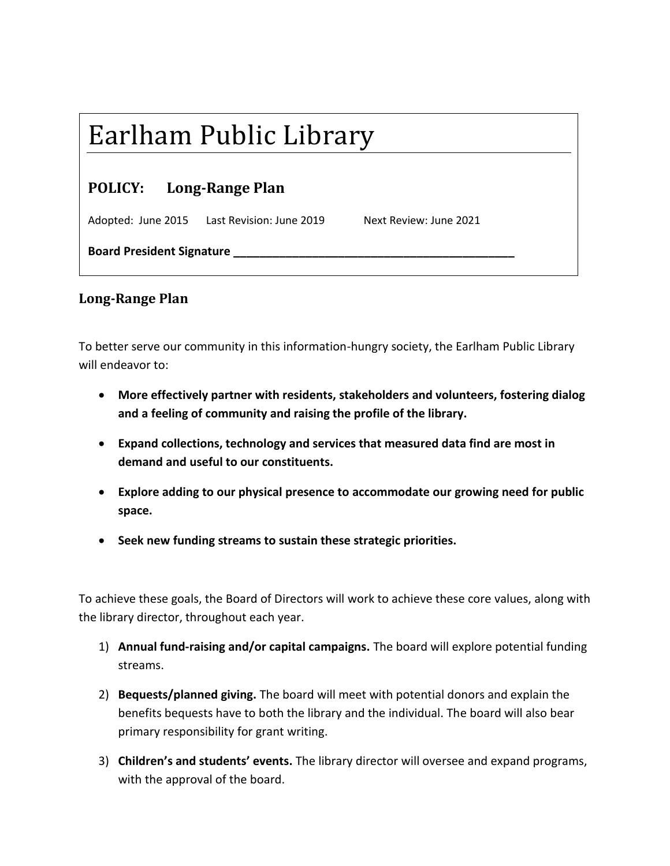## Earlham Public Library

| <b>POLICY:</b> | <b>Long-Range Plan</b> |
|----------------|------------------------|
|----------------|------------------------|

Adopted: June 2015 Last Revision: June 2019 Next Review: June 2021

**Board President Signature \_\_\_\_\_\_\_\_\_\_\_\_\_\_\_\_\_\_\_\_\_\_\_\_\_\_\_\_\_\_\_\_\_\_\_\_\_\_\_\_\_\_\_**

## **Long-Range Plan**

To better serve our community in this information-hungry society, the Earlham Public Library will endeavor to:

- **More effectively partner with residents, stakeholders and volunteers, fostering dialog and a feeling of community and raising the profile of the library.**
- **Expand collections, technology and services that measured data find are most in demand and useful to our constituents.**
- **Explore adding to our physical presence to accommodate our growing need for public space.**
- **Seek new funding streams to sustain these strategic priorities.**

To achieve these goals, the Board of Directors will work to achieve these core values, along with the library director, throughout each year.

- 1) **Annual fund-raising and/or capital campaigns.** The board will explore potential funding streams.
- 2) **Bequests/planned giving.** The board will meet with potential donors and explain the benefits bequests have to both the library and the individual. The board will also bear primary responsibility for grant writing.
- 3) **Children's and students' events.** The library director will oversee and expand programs, with the approval of the board.